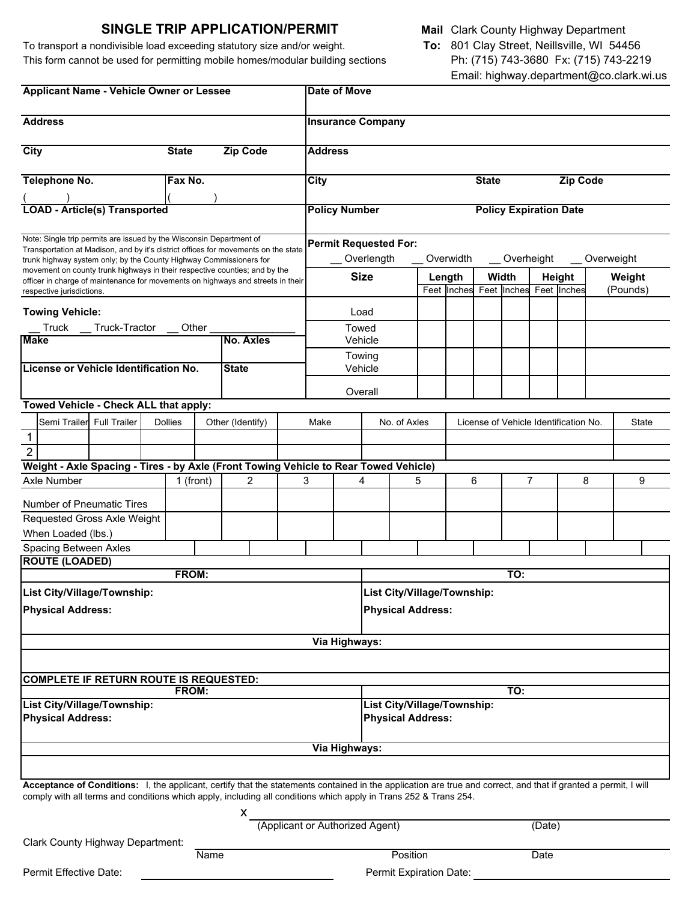# **SINGLE TRIP APPLICATION/PERMIT**

To transport a nondivisible load exceeding statutory size and/or weight. This form cannot be used for permitting mobile homes/modular building sections

|  | <b>Mail</b> Clark County Highway Department |
|--|---------------------------------------------|
|  |                                             |

**To:** 801 Clay Street, Neillsville, WI 54456 Ph: (715) 743-3680 Fx: (715) 743-2219 Email: highway.department@co.clark.wi.us

| <b>Applicant Name - Vehicle Owner or Lessee</b>                                                                                                                                                                                                                                     |                |             | Date of Move     |                                    |                             |                                                       |                   |                 |                                     |                           |              |        |   |                                       |          |              |
|-------------------------------------------------------------------------------------------------------------------------------------------------------------------------------------------------------------------------------------------------------------------------------------|----------------|-------------|------------------|------------------------------------|-----------------------------|-------------------------------------------------------|-------------------|-----------------|-------------------------------------|---------------------------|--------------|--------|---|---------------------------------------|----------|--------------|
| <b>Address</b>                                                                                                                                                                                                                                                                      |                |             |                  | <b>Insurance Company</b>           |                             |                                                       |                   |                 |                                     |                           |              |        |   |                                       |          |              |
| <b>City</b>                                                                                                                                                                                                                                                                         | <b>State</b>   |             | <b>Zip Code</b>  |                                    | <b>Address</b>              |                                                       |                   |                 |                                     |                           |              |        |   |                                       |          |              |
| Telephone No.                                                                                                                                                                                                                                                                       | Fax No.        |             |                  |                                    | <b>City</b>                 |                                                       |                   |                 |                                     |                           | <b>State</b> |        |   | Zip Code                              |          |              |
|                                                                                                                                                                                                                                                                                     |                |             |                  |                                    |                             |                                                       |                   |                 |                                     |                           |              |        |   |                                       |          |              |
| <b>LOAD - Article(s) Transported</b>                                                                                                                                                                                                                                                |                |             |                  |                                    |                             | <b>Policy Number</b><br><b>Policy Expiration Date</b> |                   |                 |                                     |                           |              |        |   |                                       |          |              |
| Note: Single trip permits are issued by the Wisconsin Department of<br>Transportation at Madison, and by it's district offices for movements on the state                                                                                                                           |                |             |                  |                                    |                             | <b>Permit Requested For:</b>                          |                   |                 |                                     |                           |              |        |   |                                       |          |              |
| trunk highway system only; by the County Highway Commissioners for                                                                                                                                                                                                                  |                |             |                  |                                    | _ Overlength<br>Overwidth   |                                                       |                   |                 |                                     | _Overheight<br>Overweight |              |        |   |                                       |          |              |
| movement on county trunk highways in their respective counties; and by the<br>officer in charge of maintenance for movements on highways and streets in their                                                                                                                       |                |             |                  |                                    | <b>Size</b>                 |                                                       |                   | Length<br>Width |                                     |                           |              | Height |   | Weight                                |          |              |
| respective jurisdictions.                                                                                                                                                                                                                                                           |                |             |                  |                                    |                             |                                                       |                   |                 | Feet Inches Feet Inches Feet Inches |                           |              |        |   |                                       | (Pounds) |              |
| <b>Towing Vehicle:</b>                                                                                                                                                                                                                                                              |                |             |                  |                                    |                             |                                                       | Load              |                 |                                     |                           |              |        |   |                                       |          |              |
| Truck Truck-Tractor Other                                                                                                                                                                                                                                                           |                |             |                  |                                    |                             | Towed                                                 |                   |                 |                                     |                           |              |        |   |                                       |          |              |
| <b>Make</b>                                                                                                                                                                                                                                                                         |                |             | No. Axles        |                                    |                             |                                                       | Vehicle           |                 |                                     |                           |              |        |   |                                       |          |              |
| License or Vehicle Identification No.                                                                                                                                                                                                                                               |                |             | <b>State</b>     |                                    |                             |                                                       | Towing<br>Vehicle |                 |                                     |                           |              |        |   |                                       |          |              |
|                                                                                                                                                                                                                                                                                     |                |             |                  |                                    |                             |                                                       |                   |                 |                                     |                           |              |        |   |                                       |          |              |
| Towed Vehicle - Check ALL that apply:                                                                                                                                                                                                                                               |                |             |                  |                                    |                             |                                                       | Overall           |                 |                                     |                           |              |        |   |                                       |          |              |
| Semi Trailer Full Trailer                                                                                                                                                                                                                                                           | <b>Dollies</b> |             | Other (Identify) |                                    | Make                        |                                                       |                   |                 |                                     |                           |              |        |   | License of Vehicle Identification No. |          | <b>State</b> |
| $\mathbf{1}$                                                                                                                                                                                                                                                                        |                |             |                  |                                    |                             |                                                       | No. of Axles      |                 |                                     |                           |              |        |   |                                       |          |              |
| $\overline{2}$                                                                                                                                                                                                                                                                      |                |             |                  |                                    |                             |                                                       |                   |                 |                                     |                           |              |        |   |                                       |          |              |
| Weight - Axle Spacing - Tires - by Axle (Front Towing Vehicle to Rear Towed Vehicle)                                                                                                                                                                                                |                |             |                  |                                    |                             |                                                       |                   |                 |                                     |                           |              |        |   |                                       |          |              |
| Axle Number                                                                                                                                                                                                                                                                         |                | 1 (front)   | 2                |                                    | 3                           |                                                       | 4                 |                 | 5                                   |                           | 6            |        | 7 |                                       | 8        | 9            |
| <b>Number of Pneumatic Tires</b>                                                                                                                                                                                                                                                    |                |             |                  |                                    |                             |                                                       |                   |                 |                                     |                           |              |        |   |                                       |          |              |
| Requested Gross Axle Weight                                                                                                                                                                                                                                                         |                |             |                  |                                    |                             |                                                       |                   |                 |                                     |                           |              |        |   |                                       |          |              |
| When Loaded (lbs.)                                                                                                                                                                                                                                                                  |                |             |                  |                                    |                             |                                                       |                   |                 |                                     |                           |              |        |   |                                       |          |              |
| <b>Spacing Between Axles</b>                                                                                                                                                                                                                                                        |                |             |                  |                                    |                             |                                                       |                   |                 |                                     |                           |              |        |   |                                       |          |              |
| <b>ROUTE (LOADED)</b>                                                                                                                                                                                                                                                               | FROM:          |             |                  |                                    |                             |                                                       |                   |                 |                                     |                           |              |        |   |                                       |          |              |
|                                                                                                                                                                                                                                                                                     |                |             |                  |                                    | TO:                         |                                                       |                   |                 |                                     |                           |              |        |   |                                       |          |              |
| List City/Village/Township:                                                                                                                                                                                                                                                         |                |             |                  |                                    | List City/Village/Township: |                                                       |                   |                 |                                     |                           |              |        |   |                                       |          |              |
| <b>Physical Address:</b>                                                                                                                                                                                                                                                            |                |             |                  |                                    | <b>Physical Address:</b>    |                                                       |                   |                 |                                     |                           |              |        |   |                                       |          |              |
|                                                                                                                                                                                                                                                                                     |                |             |                  |                                    |                             | Via Highways:                                         |                   |                 |                                     |                           |              |        |   |                                       |          |              |
|                                                                                                                                                                                                                                                                                     |                |             |                  |                                    |                             |                                                       |                   |                 |                                     |                           |              |        |   |                                       |          |              |
| <b>COMPLETE IF RETURN ROUTE IS REQUESTED:</b>                                                                                                                                                                                                                                       |                |             |                  |                                    |                             |                                                       |                   |                 |                                     |                           |              |        |   |                                       |          |              |
| FROM:<br>List City/Village/Township:                                                                                                                                                                                                                                                |                |             |                  | TO:<br>List City/Village/Township: |                             |                                                       |                   |                 |                                     |                           |              |        |   |                                       |          |              |
| <b>Physical Address:</b>                                                                                                                                                                                                                                                            |                |             |                  | <b>Physical Address:</b>           |                             |                                                       |                   |                 |                                     |                           |              |        |   |                                       |          |              |
| Via Highways:                                                                                                                                                                                                                                                                       |                |             |                  |                                    |                             |                                                       |                   |                 |                                     |                           |              |        |   |                                       |          |              |
|                                                                                                                                                                                                                                                                                     |                |             |                  |                                    |                             |                                                       |                   |                 |                                     |                           |              |        |   |                                       |          |              |
| Acceptance of Conditions: I, the applicant, certify that the statements contained in the application are true and correct, and that if granted a permit, I will<br>comply with all terms and conditions which apply, including all conditions which apply in Trans 252 & Trans 254. |                |             |                  |                                    |                             |                                                       |                   |                 |                                     |                           |              |        |   |                                       |          |              |
| X                                                                                                                                                                                                                                                                                   |                |             |                  | (Applicant or Authorized Agent)    |                             |                                                       |                   |                 |                                     | (Date)                    |              |        |   |                                       |          |              |
| <b>Clark County Highway Department:</b>                                                                                                                                                                                                                                             |                |             |                  |                                    |                             |                                                       |                   |                 |                                     |                           |              |        |   |                                       |          |              |
|                                                                                                                                                                                                                                                                                     |                | <b>Name</b> |                  |                                    |                             | Position<br>Date                                      |                   |                 |                                     |                           |              |        |   |                                       |          |              |
| Permit Effective Date:                                                                                                                                                                                                                                                              |                |             |                  | Permit Expiration Date:            |                             |                                                       |                   |                 |                                     |                           |              |        |   |                                       |          |              |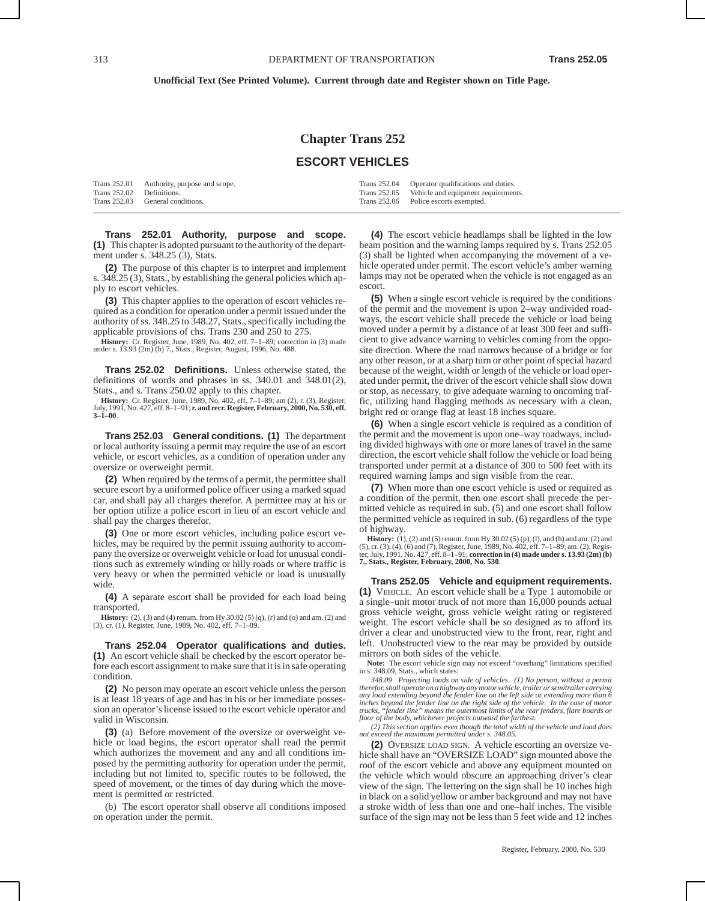## **Chapter Trans 252**

### **ESCORT VEHICLES**

|                           | Trans 252.01 Authority, purpose and scope. | Trans 252.04 Operator qualifications and duties. |
|---------------------------|--------------------------------------------|--------------------------------------------------|
| Trans 252.02 Definitions. |                                            | Trans 252.05 Vehicle and equipment requirements. |
|                           | Trans 252.03 General conditions.           | Trans 252.06 Police escorts exempted.            |

**Trans 252.01 Authority, purpose and scope. (1)** This chapter is adopted pursuant to the authority of the department under s. 348.25 (3), Stats.

**(2)** The purpose of this chapter is to interpret and implement s. 348.25 (3), Stats., by establishing the general policies which apply to escort vehicles.

**(3)** This chapter applies to the operation of escort vehicles required as a condition for operation under a permit issued under the authority of ss. 348.25 to 348.27, Stats., specifically including the applicable provisions of chs. Trans 230 and 250 to 275.

**History:** Cr. Register, June, 1989, No. 402, eff. 7–1–89; correction in (3) made under s. 13.93 (2m) (b) 7., Stats., Register, August, 1996, No. 488.

**Trans 252.02 Definitions.** Unless otherwise stated, the definitions of words and phrases in ss. 340.01 and 348.01(2), Stats., and s. Trans 250.02 apply to this chapter.

**History:** Cr. Register, June, 1989, No. 402, eff. 7–1–89; am (2), r. (3), Register, July, 1991, No. 427, eff. 8–1–91; **r. and recr. Register, February, 2000, No. 530, eff. 3–1–00**.

**Trans 252.03 General conditions. (1)** The department or local authority issuing a permit may require the use of an escort vehicle, or escort vehicles, as a condition of operation under any oversize or overweight permit.

**(2)** When required by the terms of a permit, the permittee shall secure escort by a uniformed police officer using a marked squad car, and shall pay all charges therefor. A permittee may at his or her option utilize a police escort in lieu of an escort vehicle and shall pay the charges therefor.

**(3)** One or more escort vehicles, including police escort vehicles, may be required by the permit issuing authority to accompany the oversize or overweight vehicle or load for unusual conditions such as extremely winding or hilly roads or where traffic is very heavy or when the permitted vehicle or load is unusually wide.

**(4)** A separate escort shall be provided for each load being transported.

**History:** (2), (3) and (4) renum. from Hy 30.02 (5) (q), (r) and (o) and am. (2) and (3), cr. (1), Register, June, 1989, No. 402, eff. 7–1–89.

**Trans 252.04 Operator qualifications and duties. (1)** An escort vehicle shall be checked by the escort operator before each escort assignment to make sure that it is in safe operating condition.

**(2)** No person may operate an escort vehicle unless the person is at least 18 years of age and has in his or her immediate possession an operator's license issued to the escort vehicle operator and valid in Wisconsin.

**(3)** (a) Before movement of the oversize or overweight vehicle or load begins, the escort operator shall read the permit which authorizes the movement and any and all conditions imposed by the permitting authority for operation under the permit, including but not limited to, specific routes to be followed, the speed of movement, or the times of day during which the movement is permitted or restricted.

(b) The escort operator shall observe all conditions imposed on operation under the permit.

**(4)** The escort vehicle headlamps shall be lighted in the low beam position and the warning lamps required by s. Trans 252.05 (3) shall be lighted when accompanying the movement of a vehicle operated under permit. The escort vehicle's amber warning lamps may not be operated when the vehicle is not engaged as an escort.

**(5)** When a single escort vehicle is required by the conditions of the permit and the movement is upon 2–way undivided roadways, the escort vehicle shall precede the vehicle or load being moved under a permit by a distance of at least 300 feet and sufficient to give advance warning to vehicles coming from the opposite direction. Where the road narrows because of a bridge or for any other reason, or at a sharp turn or other point of special hazard because of the weight, width or length of the vehicle or load operated under permit, the driver of the escort vehicle shall slow down or stop, as necessary, to give adequate warning to oncoming traffic, utilizing hand flagging methods as necessary with a clean, bright red or orange flag at least 18 inches square.

**(6)** When a single escort vehicle is required as a condition of the permit and the movement is upon one–way roadways, including divided highways with one or more lanes of travel in the same direction, the escort vehicle shall follow the vehicle or load being transported under permit at a distance of 300 to 500 feet with its required warning lamps and sign visible from the rear.

**(7)** When more than one escort vehicle is used or required as a condition of the permit, then one escort shall precede the permitted vehicle as required in sub. (5) and one escort shall follow the permitted vehicle as required in sub. (6) regardless of the type of highway.

**History:** (1), (2) and (5) renum. from Hy 30.02 (5) (p), (l), and (h) and am. (2) and (5), cr. (3), cf. (5), cf. egiser, June, 1989, No. 402, eff.  $7-1-89$ ; am. (2), Registralian (5), Register, July, 1991, No. 427, eff. **7., Stats., Register, February, 2000, No. 530**.

**Trans 252.05 Vehicle and equipment requirements. (1)** VEHICLE. An escort vehicle shall be a Type 1 automobile or a single–unit motor truck of not more than 16,000 pounds actual gross vehicle weight, gross vehicle weight rating or registered weight. The escort vehicle shall be so designed as to afford its driver a clear and unobstructed view to the front, rear, right and left. Unobstructed view to the rear may be provided by outside mirrors on both sides of the vehicle.

**Note:** The escort vehicle sign may not exceed "overhang" limitations specified in s. 348.09, Stats., which states:

*348.09 Projecting loads on side of vehicles. (1) No person, without a permit therefor, shall operate on a highway any motor vehicle, trailer or semitrailer carrying any load extending beyond the fender line on the left side or extending more than 6 inches beyond the fender line on the right side of the vehicle. In the case of motor trucks, "fender line" means the outermost limits of the rear fenders, flare boards or floor of the body, whichever projects outward the farthest.*

*(2) This section applies even though the total width of the vehicle and load does not exceed the maximum permitted under s. 348.05.*

**(2)** OVERSIZE LOAD SIGN. A vehicle escorting an oversize vehicle shall have an "OVERSIZE LOAD" sign mounted above the roof of the escort vehicle and above any equipment mounted on the vehicle which would obscure an approaching driver's clear view of the sign. The lettering on the sign shall be 10 inches high in black on a solid yellow or amber background and may not have a stroke width of less than one and one–half inches. The visible surface of the sign may not be less than 5 feet wide and 12 inches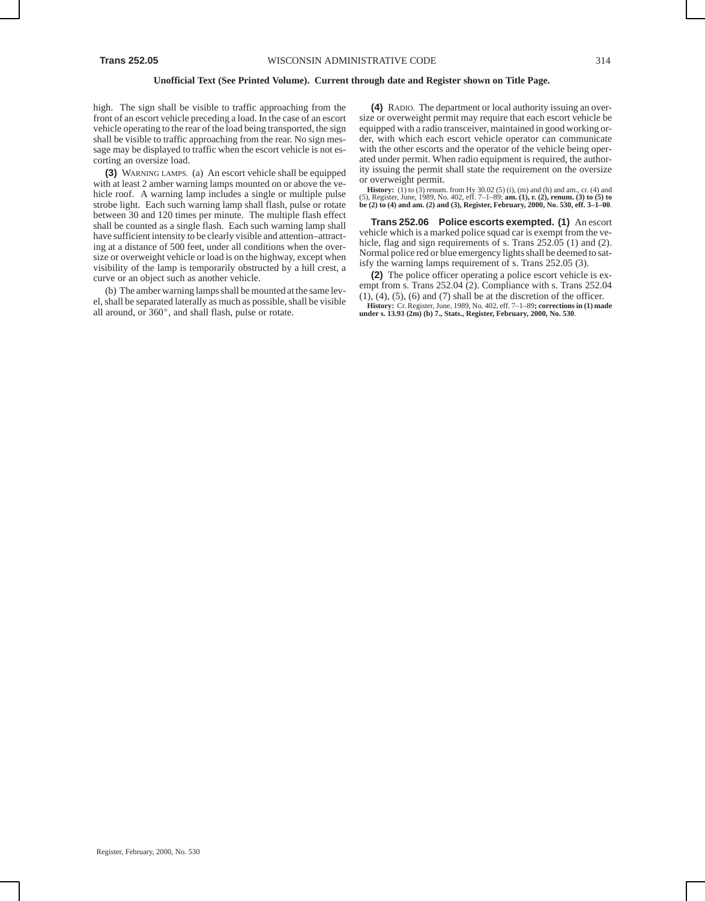high. The sign shall be visible to traffic approaching from the front of an escort vehicle preceding a load. In the case of an escort vehicle operating to the rear of the load being transported, the sign shall be visible to traffic approaching from the rear. No sign message may be displayed to traffic when the escort vehicle is not escorting an oversize load.

**(3)** WARNING LAMPS. (a) An escort vehicle shall be equipped with at least 2 amber warning lamps mounted on or above the vehicle roof. A warning lamp includes a single or multiple pulse strobe light. Each such warning lamp shall flash, pulse or rotate between 30 and 120 times per minute. The multiple flash effect shall be counted as a single flash. Each such warning lamp shall have sufficient intensity to be clearly visible and attention–attracting at a distance of 500 feet, under all conditions when the oversize or overweight vehicle or load is on the highway, except when visibility of the lamp is temporarily obstructed by a hill crest, a curve or an object such as another vehicle.

(b) The amber warning lamps shall be mounted at the same lev-(b) The amoet warming namps share of mounted at the same revel, shall be separated laterally as much as possible, shall be visible all around, or 360 $^{\circ}$ , and shall flash, pulse or rotate.

**(4)** RADIO. The department or local authority issuing an oversize or overweight permit may require that each escort vehicle be equipped with a radio transceiver, maintained in good working order, with which each escort vehicle operator can communicate with the other escorts and the operator of the vehicle being operated under permit. When radio equipment is required, the authority issuing the permit shall state the requirement on the oversize or overweight permit.

**History:** (1) to (3) renum. from Hy 30.02 (5) (i), (m) and (h) and am., cr. (4) and (5), Register, June, 1989, No. 402, eff. 7–1–89; **am. (1), r. (2), renum. (3) to (5) to be (2) to (4) and am. (2) and (3), Register, February, 2000, No. 530, eff. 3–1–00**.

**Trans 252.06 Police escorts exempted. (1)** An escort vehicle which is a marked police squad car is exempt from the vehicle, flag and sign requirements of s. Trans 252.05 (1) and (2). Normal police red or blue emergency lights shall be deemed to satisfy the warning lamps requirement of s. Trans 252.05 (3).

**(2)** The police officer operating a police escort vehicle is exempt from s. Trans 252.04 (2). Compliance with s. Trans 252.04  $(1)$ ,  $(4)$ ,  $(5)$ ,  $(6)$  and  $(7)$  shall be at the discretion of the officer. **History:** Cr. Register, June, 1989, No. 402, eff. 7–1–89**; corrections in (1) made under s. 13.93 (2m) (b) 7., Stats., Register, February, 2000, No. 530**.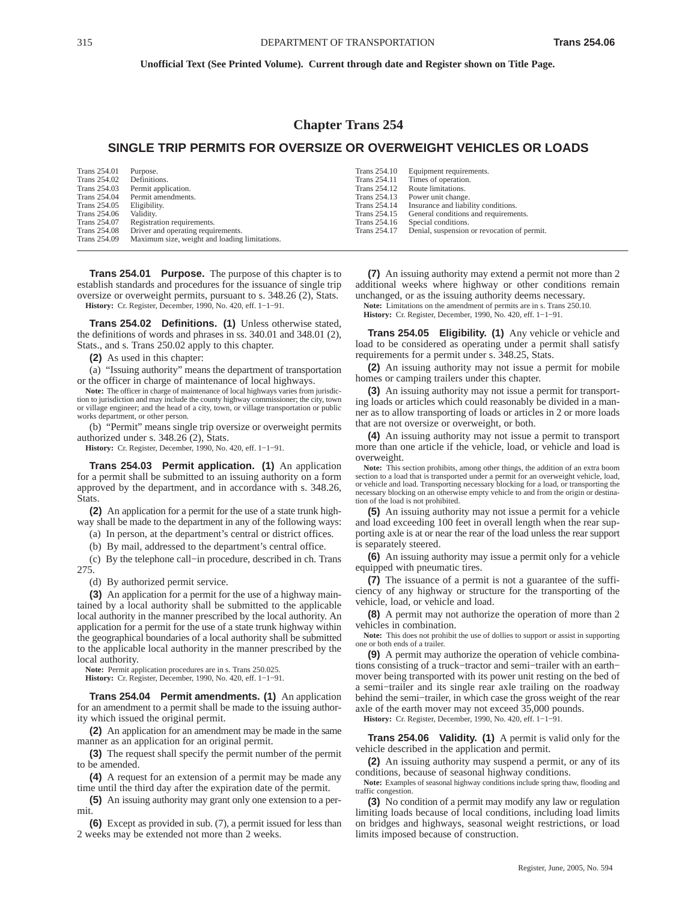### **Chapter Trans 254**

### **SINGLE TRIP PERMITS FOR OVERSIZE OR OVERWEIGHT VEHICLES OR LOADS**

| Trans 254.01 | Purpose.                                      | <b>Trans 254.10</b> | Equipment requirements.                     |
|--------------|-----------------------------------------------|---------------------|---------------------------------------------|
| Trans 254.02 | Definitions.                                  | <b>Trans 254.11</b> | Times of operation.                         |
| Trans 254.03 | Permit application.                           | <b>Trans 254.12</b> | Route limitations.                          |
| Trans 254.04 | Permit amendments.                            | Trans 254.13        | Power unit change.                          |
| Trans 254.05 | Eligibility.                                  | <b>Trans 254.14</b> | Insurance and liability conditions.         |
| Trans 254.06 | Validity.                                     | <b>Trans 254.15</b> | General conditions and requirements.        |
| Trans 254.07 | Registration requirements.                    | Trans 254.16        | Special conditions.                         |
| Trans 254.08 | Driver and operating requirements.            | Trans 254.17        | Denial, suspension or revocation of permit. |
| Trans 254.09 | Maximum size, weight and loading limitations. |                     |                                             |
|              |                                               |                     |                                             |

**Trans 254.01 Purpose.** The purpose of this chapter is to establish standards and procedures for the issuance of single trip oversize or overweight permits, pursuant to s. 348.26 (2), Stats. **History:** Cr. Register, December, 1990, No. 420, eff. 1−1−91.

**Trans 254.02 Definitions. (1)** Unless otherwise stated, the definitions of words and phrases in ss. 340.01 and 348.01 (2), Stats., and s. Trans 250.02 apply to this chapter.

**(2)** As used in this chapter:

(a) "Issuing authority" means the department of transportation or the officer in charge of maintenance of local highways.

Note: The officer in charge of maintenance of local highways varies from jurisdiction to jurisdiction and may include the county highway commissioner; the city, town or village engineer; and the head of a city, town, or village transportation or public works department, or other person.

(b) "Permit" means single trip oversize or overweight permits authorized under s. 348.26 (2), Stats.

**History:** Cr. Register, December, 1990, No. 420, eff. 1−1−91.

**Trans 254.03 Permit application. (1)** An application for a permit shall be submitted to an issuing authority on a form approved by the department, and in accordance with s. 348.26, Stats.

**(2)** An application for a permit for the use of a state trunk highway shall be made to the department in any of the following ways:

(a) In person, at the department's central or district offices.

(b) By mail, addressed to the department's central office.

(c) By the telephone call−in procedure, described in ch. Trans 275.

(d) By authorized permit service.

**(3)** An application for a permit for the use of a highway maintained by a local authority shall be submitted to the applicable local authority in the manner prescribed by the local authority. An application for a permit for the use of a state trunk highway within the geographical boundaries of a local authority shall be submitted to the applicable local authority in the manner prescribed by the local authority.

**Note:** Permit application procedures are in s. Trans 250.025.

**History:** Cr. Register, December, 1990, No. 420, eff. 1−1−91.

**Trans 254.04 Permit amendments. (1)** An application for an amendment to a permit shall be made to the issuing authority which issued the original permit.

**(2)** An application for an amendment may be made in the same manner as an application for an original permit.

**(3)** The request shall specify the permit number of the permit to be amended.

**(4)** A request for an extension of a permit may be made any time until the third day after the expiration date of the permit.

**(5)** An issuing authority may grant only one extension to a permit.

**(6)** Except as provided in sub. (7), a permit issued for less than 2 weeks may be extended not more than 2 weeks.

**(7)** An issuing authority may extend a permit not more than 2 additional weeks where highway or other conditions remain unchanged, or as the issuing authority deems necessary. **Note:** Limitations on the amendment of permits are in s. Trans 250.10. **History:** Cr. Register, December, 1990, No. 420, eff. 1−1−91.

**Trans 254.05 Eligibility. (1)** Any vehicle or vehicle and load to be considered as operating under a permit shall satisfy requirements for a permit under s. 348.25, Stats.

**(2)** An issuing authority may not issue a permit for mobile homes or camping trailers under this chapter.

**(3)** An issuing authority may not issue a permit for transporting loads or articles which could reasonably be divided in a manner as to allow transporting of loads or articles in 2 or more loads that are not oversize or overweight, or both.

**(4)** An issuing authority may not issue a permit to transport more than one article if the vehicle, load, or vehicle and load is overweight.

**Note:** This section prohibits, among other things, the addition of an extra boom section to a load that is transported under a permit for an overweight vehicle, load, or vehicle and load. Transporting necessary blocking for a load, or transporting the necessary blocking on an otherwise empty vehicle to and from the origin or destination of the load is not prohibited.

**(5)** An issuing authority may not issue a permit for a vehicle and load exceeding 100 feet in overall length when the rear supporting axle is at or near the rear of the load unless the rear support is separately steered.

**(6)** An issuing authority may issue a permit only for a vehicle equipped with pneumatic tires.

**(7)** The issuance of a permit is not a guarantee of the sufficiency of any highway or structure for the transporting of the vehicle, load, or vehicle and load.

**(8)** A permit may not authorize the operation of more than 2 vehicles in combination.

**Note:** This does not prohibit the use of dollies to support or assist in supporting one or both ends of a trailer.

**(9)** A permit may authorize the operation of vehicle combinations consisting of a truck−tractor and semi−trailer with an earth− mover being transported with its power unit resting on the bed of a semi−trailer and its single rear axle trailing on the roadway behind the semi−trailer, in which case the gross weight of the rear axle of the earth mover may not exceed 35,000 pounds.

**History:** Cr. Register, December, 1990, No. 420, eff. 1−1−91.

**Trans 254.06 Validity. (1)** A permit is valid only for the vehicle described in the application and permit.

**(2)** An issuing authority may suspend a permit, or any of its conditions, because of seasonal highway conditions.

**Note:** Examples of seasonal highway conditions include spring thaw, flooding and traffic congestion.

**(3)** No condition of a permit may modify any law or regulation limiting loads because of local conditions, including load limits on bridges and highways, seasonal weight restrictions, or load limits imposed because of construction.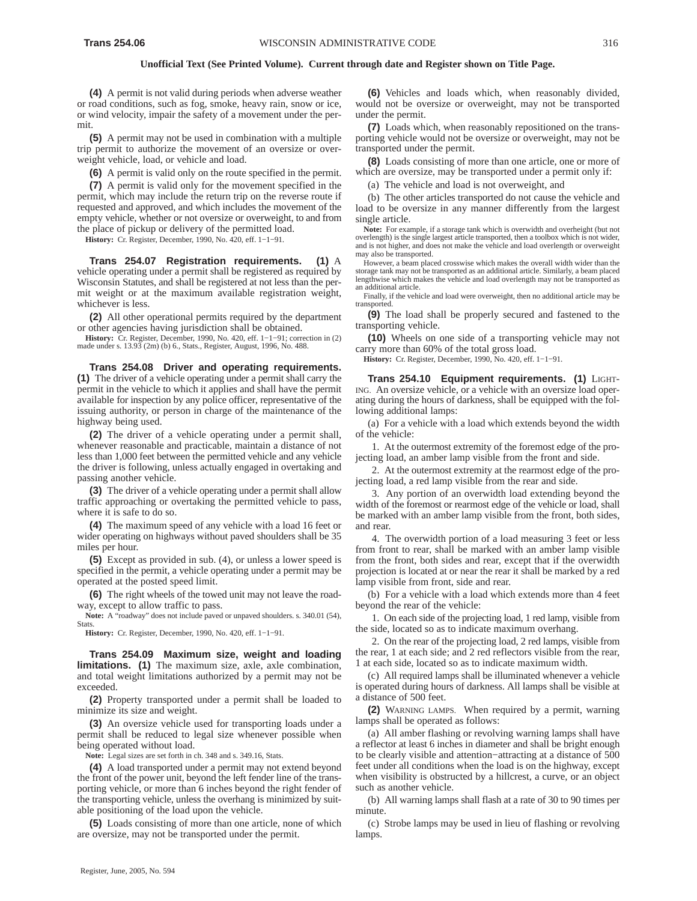**(4)** A permit is not valid during periods when adverse weather or road conditions, such as fog, smoke, heavy rain, snow or ice, or wind velocity, impair the safety of a movement under the permit.

**(5)** A permit may not be used in combination with a multiple trip permit to authorize the movement of an oversize or overweight vehicle, load, or vehicle and load.

**(6)** A permit is valid only on the route specified in the permit.

**(7)** A permit is valid only for the movement specified in the permit, which may include the return trip on the reverse route if requested and approved, and which includes the movement of the empty vehicle, whether or not oversize or overweight, to and from the place of pickup or delivery of the permitted load.

**History:** Cr. Register, December, 1990, No. 420, eff. 1−1−91.

**Trans 254.07 Registration requirements. (1)** A vehicle operating under a permit shall be registered as required by Wisconsin Statutes, and shall be registered at not less than the permit weight or at the maximum available registration weight, whichever is less.

**(2)** All other operational permits required by the department or other agencies having jurisdiction shall be obtained.

**History:** Cr. Register, December, 1990, No. 420, eff. 1−1−91; correction in (2) made under s. 13.93 (2m) (b) 6., Stats., Register, August, 1996, No. 488.

**Trans 254.08 Driver and operating requirements. (1)** The driver of a vehicle operating under a permit shall carry the permit in the vehicle to which it applies and shall have the permit available for inspection by any police officer, representative of the issuing authority, or person in charge of the maintenance of the highway being used.

**(2)** The driver of a vehicle operating under a permit shall, whenever reasonable and practicable, maintain a distance of not less than 1,000 feet between the permitted vehicle and any vehicle the driver is following, unless actually engaged in overtaking and passing another vehicle.

**(3)** The driver of a vehicle operating under a permit shall allow traffic approaching or overtaking the permitted vehicle to pass, where it is safe to do so.

**(4)** The maximum speed of any vehicle with a load 16 feet or wider operating on highways without paved shoulders shall be 35 miles per hour.

**(5)** Except as provided in sub. (4), or unless a lower speed is specified in the permit, a vehicle operating under a permit may be operated at the posted speed limit.

**(6)** The right wheels of the towed unit may not leave the roadway, except to allow traffic to pass.

**Note:** A "roadway" does not include paved or unpaved shoulders. s. 340.01 (54), **Stats** 

**History:** Cr. Register, December, 1990, No. 420, eff. 1−1−91.

**Trans 254.09 Maximum size, weight and loading limitations.** (1) The maximum size, axle, axle combination, and total weight limitations authorized by a permit may not be exceeded.

**(2)** Property transported under a permit shall be loaded to minimize its size and weight.

**(3)** An oversize vehicle used for transporting loads under a permit shall be reduced to legal size whenever possible when being operated without load.

**Note:** Legal sizes are set forth in ch. 348 and s. 349.16, Stats.

**(4)** A load transported under a permit may not extend beyond the front of the power unit, beyond the left fender line of the transporting vehicle, or more than 6 inches beyond the right fender of the transporting vehicle, unless the overhang is minimized by suitable positioning of the load upon the vehicle.

**(5)** Loads consisting of more than one article, none of which are oversize, may not be transported under the permit.

**(6)** Vehicles and loads which, when reasonably divided, would not be oversize or overweight, may not be transported under the permit.

**(7)** Loads which, when reasonably repositioned on the transporting vehicle would not be oversize or overweight, may not be transported under the permit.

**(8)** Loads consisting of more than one article, one or more of which are oversize, may be transported under a permit only if:

(a) The vehicle and load is not overweight, and

(b) The other articles transported do not cause the vehicle and load to be oversize in any manner differently from the largest single article.

**Note:** For example, if a storage tank which is overwidth and overheight (but not overlength) is the single largest article transported, then a toolbox which is not wider, and is not higher, and does not make the vehicle and load overlength or overweight may also be transported.

However, a beam placed crosswise which makes the overall width wider than the storage tank may not be transported as an additional article. Similarly, a beam placed lengthwise which makes the vehicle and load overlength may not be transported as an additional article.

Finally, if the vehicle and load were overweight, then no additional article may be transported.

**(9)** The load shall be properly secured and fastened to the transporting vehicle.

**(10)** Wheels on one side of a transporting vehicle may not carry more than 60% of the total gross load.

**History:** Cr. Register, December, 1990, No. 420, eff. 1−1−91.

**Trans 254.10 Equipment requirements. (1)** LIGHT-ING. An oversize vehicle, or a vehicle with an oversize load operating during the hours of darkness, shall be equipped with the following additional lamps:

(a) For a vehicle with a load which extends beyond the width of the vehicle:

1. At the outermost extremity of the foremost edge of the projecting load, an amber lamp visible from the front and side.

2. At the outermost extremity at the rearmost edge of the projecting load, a red lamp visible from the rear and side.

3. Any portion of an overwidth load extending beyond the width of the foremost or rearmost edge of the vehicle or load, shall be marked with an amber lamp visible from the front, both sides, and rear.

4. The overwidth portion of a load measuring 3 feet or less from front to rear, shall be marked with an amber lamp visible from the front, both sides and rear, except that if the overwidth projection is located at or near the rear it shall be marked by a red lamp visible from front, side and rear.

(b) For a vehicle with a load which extends more than 4 feet beyond the rear of the vehicle:

1. On each side of the projecting load, 1 red lamp, visible from the side, located so as to indicate maximum overhang.

2. On the rear of the projecting load, 2 red lamps, visible from the rear, 1 at each side; and 2 red reflectors visible from the rear, 1 at each side, located so as to indicate maximum width.

(c) All required lamps shall be illuminated whenever a vehicle is operated during hours of darkness. All lamps shall be visible at a distance of 500 feet.

**(2)** WARNING LAMPS. When required by a permit, warning lamps shall be operated as follows:

(a) All amber flashing or revolving warning lamps shall have a reflector at least 6 inches in diameter and shall be bright enough to be clearly visible and attention−attracting at a distance of 500 feet under all conditions when the load is on the highway, except when visibility is obstructed by a hillcrest, a curve, or an object such as another vehicle.

(b) All warning lamps shall flash at a rate of 30 to 90 times per minute.

(c) Strobe lamps may be used in lieu of flashing or revolving lamps.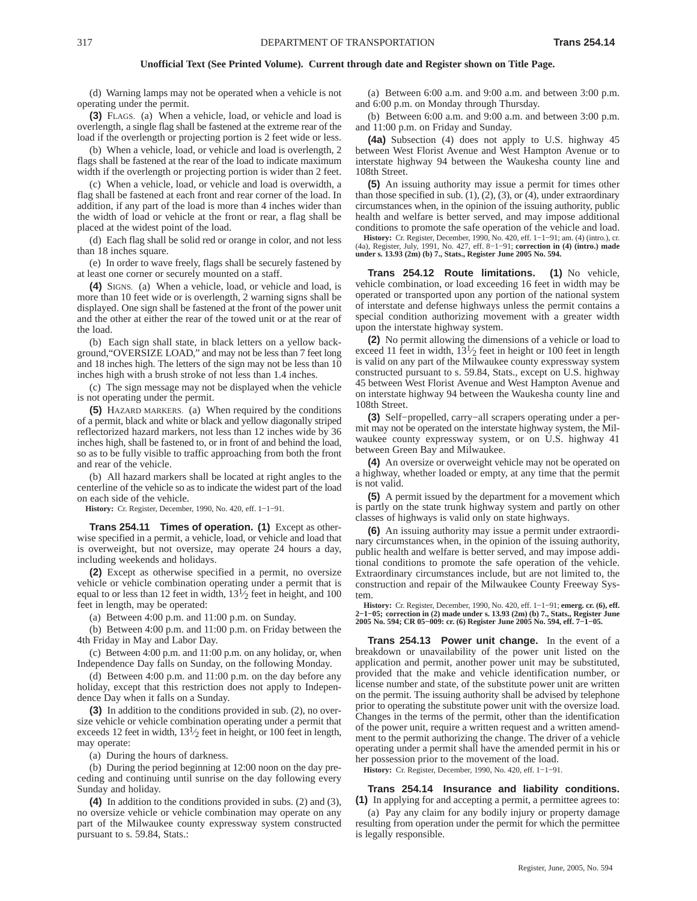(d) Warning lamps may not be operated when a vehicle is not operating under the permit.

**(3)** FLAGS. (a) When a vehicle, load, or vehicle and load is overlength, a single flag shall be fastened at the extreme rear of the load if the overlength or projecting portion is 2 feet wide or less.

(b) When a vehicle, load, or vehicle and load is overlength, 2 flags shall be fastened at the rear of the load to indicate maximum width if the overlength or projecting portion is wider than 2 feet.

(c) When a vehicle, load, or vehicle and load is overwidth, a flag shall be fastened at each front and rear corner of the load. In addition, if any part of the load is more than 4 inches wider than the width of load or vehicle at the front or rear, a flag shall be placed at the widest point of the load.

(d) Each flag shall be solid red or orange in color, and not less than 18 inches square.

(e) In order to wave freely, flags shall be securely fastened by at least one corner or securely mounted on a staff.

**(4)** SIGNS. (a) When a vehicle, load, or vehicle and load, is more than 10 feet wide or is overlength, 2 warning signs shall be displayed. One sign shall be fastened at the front of the power unit and the other at either the rear of the towed unit or at the rear of the load.

(b) Each sign shall state, in black letters on a yellow background,"OVERSIZE LOAD," and may not be less than 7 feet long and 18 inches high. The letters of the sign may not be less than 10 inches high with a brush stroke of not less than 1.4 inches.

(c) The sign message may not be displayed when the vehicle is not operating under the permit.

**(5)** HAZARD MARKERS. (a) When required by the conditions of a permit, black and white or black and yellow diagonally striped reflectorized hazard markers, not less than 12 inches wide by 36 inches high, shall be fastened to, or in front of and behind the load, so as to be fully visible to traffic approaching from both the front and rear of the vehicle.

(b) All hazard markers shall be located at right angles to the centerline of the vehicle so as to indicate the widest part of the load on each side of the vehicle.

**History:** Cr. Register, December, 1990, No. 420, eff. 1−1−91.

**Trans 254.11 Times of operation. (1)** Except as otherwise specified in a permit, a vehicle, load, or vehicle and load that is overweight, but not oversize, may operate 24 hours a day, including weekends and holidays.

**(2)** Except as otherwise specified in a permit, no oversize vehicle or vehicle combination operating under a permit that is equal to or less than 12 feet in width,  $13\frac{1}{2}$  feet in height, and 100 feet in length, may be operated:

(a) Between 4:00 p.m. and 11:00 p.m. on Sunday.

(b) Between 4:00 p.m. and 11:00 p.m. on Friday between the 4th Friday in May and Labor Day.

(c) Between 4:00 p.m. and 11:00 p.m. on any holiday, or, when Independence Day falls on Sunday, on the following Monday.

(d) Between 4:00 p.m. and 11:00 p.m. on the day before any holiday, except that this restriction does not apply to Independence Day when it falls on a Sunday.

**(3)** In addition to the conditions provided in sub. (2), no oversize vehicle or vehicle combination operating under a permit that exceeds 12 feet in width,  $13\frac{1}{2}$  feet in height, or 100 feet in length, may operate:

(a) During the hours of darkness.

(b) During the period beginning at 12:00 noon on the day preceding and continuing until sunrise on the day following every Sunday and holiday.

**(4)** In addition to the conditions provided in subs. (2) and (3), no oversize vehicle or vehicle combination may operate on any part of the Milwaukee county expressway system constructed pursuant to s. 59.84, Stats.:

(a) Between 6:00 a.m. and 9:00 a.m. and between 3:00 p.m. and 6:00 p.m. on Monday through Thursday.

(b) Between 6:00 a.m. and 9:00 a.m. and between 3:00 p.m. and 11:00 p.m. on Friday and Sunday.

**(4a)** Subsection (4) does not apply to U.S. highway 45 between West Florist Avenue and West Hampton Avenue or to interstate highway 94 between the Waukesha county line and 108th Street.

**(5)** An issuing authority may issue a permit for times other than those specified in sub.  $(1)$ ,  $(2)$ ,  $(3)$ , or  $(4)$ , under extraordinary circumstances when, in the opinion of the issuing authority, public health and welfare is better served, and may impose additional conditions to promote the safe operation of the vehicle and load.

History: Cr. Register, December, 1990, No. 420, eff. 1–1–91; am. (4) (intro.), cr. (4a), Register, July, 1991, No. 427, eff. 8–1–91; correction in (4) (intro.) made under s. 13.93 (2m) (b) 7., Stats., Register June 2005 No

**Trans 254.12 Route limitations. (1)** No vehicle, vehicle combination, or load exceeding 16 feet in width may be operated or transported upon any portion of the national system of interstate and defense highways unless the permit contains a special condition authorizing movement with a greater width upon the interstate highway system.

**(2)** No permit allowing the dimensions of a vehicle or load to exceed 11 feet in width,  $13\frac{1}{2}$  feet in height or 100 feet in length is valid on any part of the Milwaukee county expressway system constructed pursuant to s. 59.84, Stats., except on U.S. highway 45 between West Florist Avenue and West Hampton Avenue and on interstate highway 94 between the Waukesha county line and 108th Street.

**(3)** Self−propelled, carry−all scrapers operating under a permit may not be operated on the interstate highway system, the Milwaukee county expressway system, or on U.S. highway 41 between Green Bay and Milwaukee.

**(4)** An oversize or overweight vehicle may not be operated on a highway, whether loaded or empty, at any time that the permit is not valid.

**(5)** A permit issued by the department for a movement which is partly on the state trunk highway system and partly on other classes of highways is valid only on state highways.

**(6)** An issuing authority may issue a permit under extraordinary circumstances when, in the opinion of the issuing authority, public health and welfare is better served, and may impose additional conditions to promote the safe operation of the vehicle. Extraordinary circumstances include, but are not limited to, the construction and repair of the Milwaukee County Freeway System.

**History:** Cr. Register, December, 1990, No. 420, eff. 1−1−91; **emerg. cr. (6), eff. 2−1−05; correction in (2) made under s. 13.93 (2m) (b) 7., Stats., Register June 2005 No. 594; CR 05−009: cr. (6) Register June 2005 No. 594, eff. 7−1−05.**

**Trans 254.13 Power unit change.** In the event of a breakdown or unavailability of the power unit listed on the application and permit, another power unit may be substituted, provided that the make and vehicle identification number, or license number and state, of the substitute power unit are written on the permit. The issuing authority shall be advised by telephone prior to operating the substitute power unit with the oversize load. Changes in the terms of the permit, other than the identification of the power unit, require a written request and a written amendment to the permit authorizing the change. The driver of a vehicle operating under a permit shall have the amended permit in his or her possession prior to the movement of the load.

**History:** Cr. Register, December, 1990, No. 420, eff. 1−1−91.

**Trans 254.14 Insurance and liability conditions. (1)** In applying for and accepting a permit, a permittee agrees to:

(a) Pay any claim for any bodily injury or property damage resulting from operation under the permit for which the permittee is legally responsible.